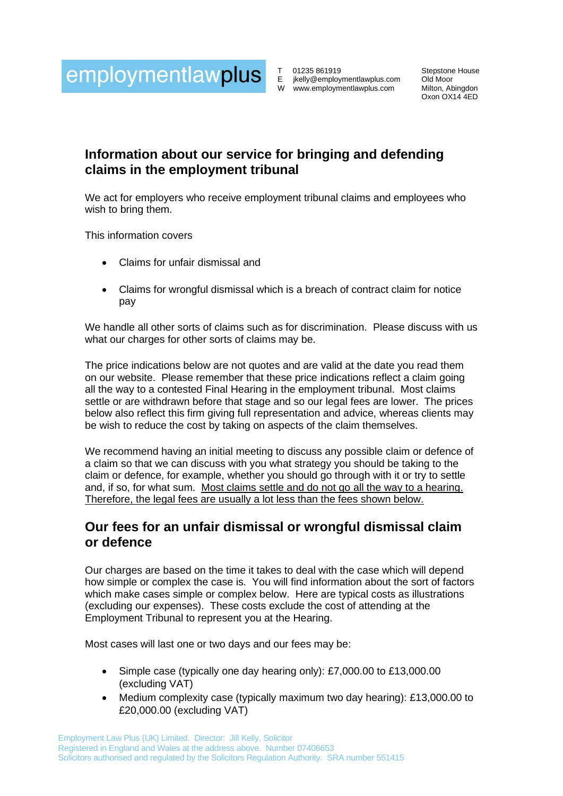

T 01235 861919 E [jkelly@employmentlawplus.com](mailto:jkelly@employmentlawplus.com) W www.employmentlawplus.com

Stepstone House Old Moor Milton, Abingdon Oxon OX14 4ED

# **Information about our service for bringing and defending claims in the employment tribunal**

We act for employers who receive employment tribunal claims and employees who wish to bring them.

This information covers

- Claims for unfair dismissal and
- Claims for wrongful dismissal which is a breach of contract claim for notice pay

We handle all other sorts of claims such as for discrimination. Please discuss with us what our charges for other sorts of claims may be.

The price indications below are not quotes and are valid at the date you read them on our website. Please remember that these price indications reflect a claim going all the way to a contested Final Hearing in the employment tribunal. Most claims settle or are withdrawn before that stage and so our legal fees are lower. The prices below also reflect this firm giving full representation and advice, whereas clients may be wish to reduce the cost by taking on aspects of the claim themselves.

We recommend having an initial meeting to discuss any possible claim or defence of a claim so that we can discuss with you what strategy you should be taking to the claim or defence, for example, whether you should go through with it or try to settle and, if so, for what sum. Most claims settle and do not go all the way to a hearing. Therefore, the legal fees are usually a lot less than the fees shown below.

## **Our fees for an unfair dismissal or wrongful dismissal claim or defence**

Our charges are based on the time it takes to deal with the case which will depend how simple or complex the case is. You will find information about the sort of factors which make cases simple or complex below. Here are typical costs as illustrations (excluding our expenses). These costs exclude the cost of attending at the Employment Tribunal to represent you at the Hearing.

Most cases will last one or two days and our fees may be:

- Simple case (typically one day hearing only): £7,000.00 to £13,000.00 (excluding VAT)
- Medium complexity case (typically maximum two day hearing): £13,000.00 to £20,000.00 (excluding VAT)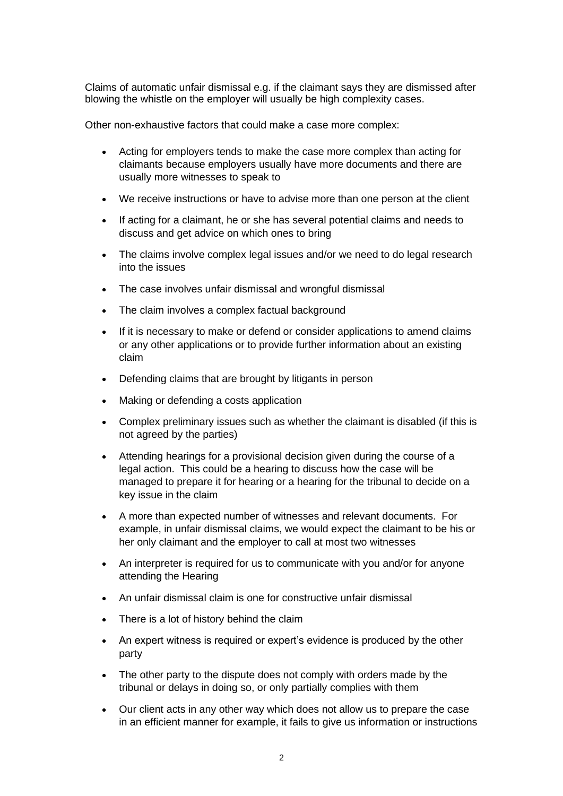Claims of automatic unfair dismissal e.g. if the claimant says they are dismissed after blowing the whistle on the employer will usually be high complexity cases.

Other non-exhaustive factors that could make a case more complex:

- Acting for employers tends to make the case more complex than acting for claimants because employers usually have more documents and there are usually more witnesses to speak to
- We receive instructions or have to advise more than one person at the client
- If acting for a claimant, he or she has several potential claims and needs to discuss and get advice on which ones to bring
- The claims involve complex legal issues and/or we need to do legal research into the issues
- The case involves unfair dismissal and wrongful dismissal
- The claim involves a complex factual background
- If it is necessary to make or defend or consider applications to amend claims or any other applications or to provide further information about an existing claim
- Defending claims that are brought by litigants in person
- Making or defending a costs application
- Complex preliminary issues such as whether the claimant is disabled (if this is not agreed by the parties)
- Attending hearings for a provisional decision given during the course of a legal action. This could be a hearing to discuss how the case will be managed to prepare it for hearing or a hearing for the tribunal to decide on a key issue in the claim
- A more than expected number of witnesses and relevant documents. For example, in unfair dismissal claims, we would expect the claimant to be his or her only claimant and the employer to call at most two witnesses
- An interpreter is required for us to communicate with you and/or for anyone attending the Hearing
- An unfair dismissal claim is one for constructive unfair dismissal
- There is a lot of history behind the claim
- An expert witness is required or expert's evidence is produced by the other party
- The other party to the dispute does not comply with orders made by the tribunal or delays in doing so, or only partially complies with them
- Our client acts in any other way which does not allow us to prepare the case in an efficient manner for example, it fails to give us information or instructions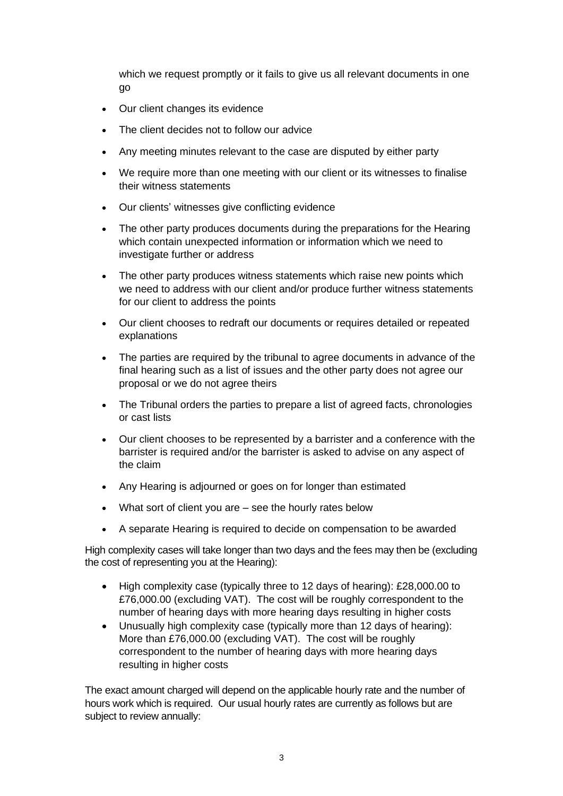which we request promptly or it fails to give us all relevant documents in one go

- Our client changes its evidence
- The client decides not to follow our advice
- Any meeting minutes relevant to the case are disputed by either party
- We require more than one meeting with our client or its witnesses to finalise their witness statements
- Our clients' witnesses give conflicting evidence
- The other party produces documents during the preparations for the Hearing which contain unexpected information or information which we need to investigate further or address
- The other party produces witness statements which raise new points which we need to address with our client and/or produce further witness statements for our client to address the points
- Our client chooses to redraft our documents or requires detailed or repeated explanations
- The parties are required by the tribunal to agree documents in advance of the final hearing such as a list of issues and the other party does not agree our proposal or we do not agree theirs
- The Tribunal orders the parties to prepare a list of agreed facts, chronologies or cast lists
- Our client chooses to be represented by a barrister and a conference with the barrister is required and/or the barrister is asked to advise on any aspect of the claim
- Any Hearing is adjourned or goes on for longer than estimated
- What sort of client you are see the hourly rates below
- A separate Hearing is required to decide on compensation to be awarded

High complexity cases will take longer than two days and the fees may then be (excluding the cost of representing you at the Hearing):

- High complexity case (typically three to 12 days of hearing): £28,000.00 to £76,000.00 (excluding VAT). The cost will be roughly correspondent to the number of hearing days with more hearing days resulting in higher costs
- Unusually high complexity case (typically more than 12 days of hearing): More than £76,000.00 (excluding VAT). The cost will be roughly correspondent to the number of hearing days with more hearing days resulting in higher costs

The exact amount charged will depend on the applicable hourly rate and the number of hours work which is required. Our usual hourly rates are currently as follows but are subject to review annually: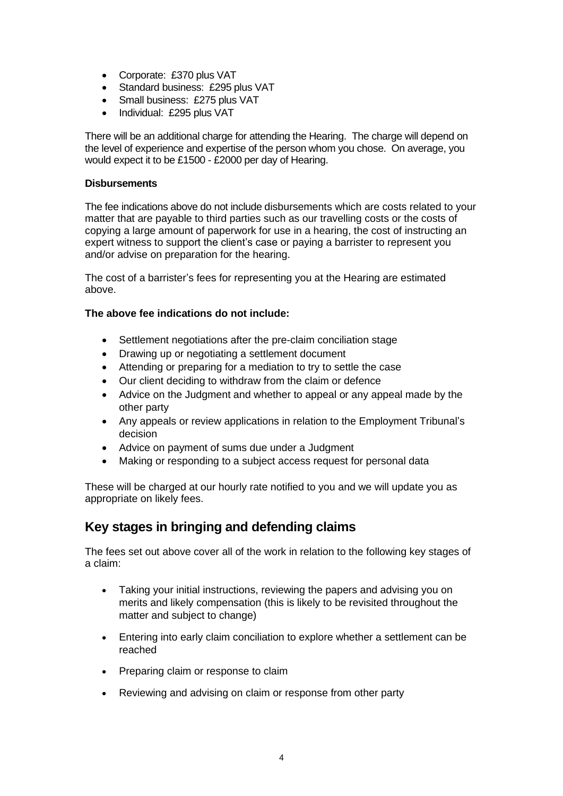- Corporate: £370 plus VAT
- Standard business: £295 plus VAT
- Small business: £275 plus VAT
- Individual: £295 plus VAT

There will be an additional charge for attending the Hearing. The charge will depend on the level of experience and expertise of the person whom you chose. On average, you would expect it to be £1500 - £2000 per day of Hearing.

#### **Disbursements**

The fee indications above do not include disbursements which are costs related to your matter that are payable to third parties such as our travelling costs or the costs of copying a large amount of paperwork for use in a hearing, the cost of instructing an expert witness to support the client's case or paying a barrister to represent you and/or advise on preparation for the hearing.

The cost of a barrister's fees for representing you at the Hearing are estimated above.

#### **The above fee indications do not include:**

- Settlement negotiations after the pre-claim conciliation stage
- Drawing up or negotiating a settlement document
- Attending or preparing for a mediation to try to settle the case
- Our client deciding to withdraw from the claim or defence
- Advice on the Judgment and whether to appeal or any appeal made by the other party
- Any appeals or review applications in relation to the Employment Tribunal's decision
- Advice on payment of sums due under a Judgment
- Making or responding to a subject access request for personal data

These will be charged at our hourly rate notified to you and we will update you as appropriate on likely fees.

## **Key stages in bringing and defending claims**

The fees set out above cover all of the work in relation to the following key stages of a claim:

- Taking your initial instructions, reviewing the papers and advising you on merits and likely compensation (this is likely to be revisited throughout the matter and subject to change)
- Entering into early claim conciliation to explore whether a settlement can be reached
- Preparing claim or response to claim
- Reviewing and advising on claim or response from other party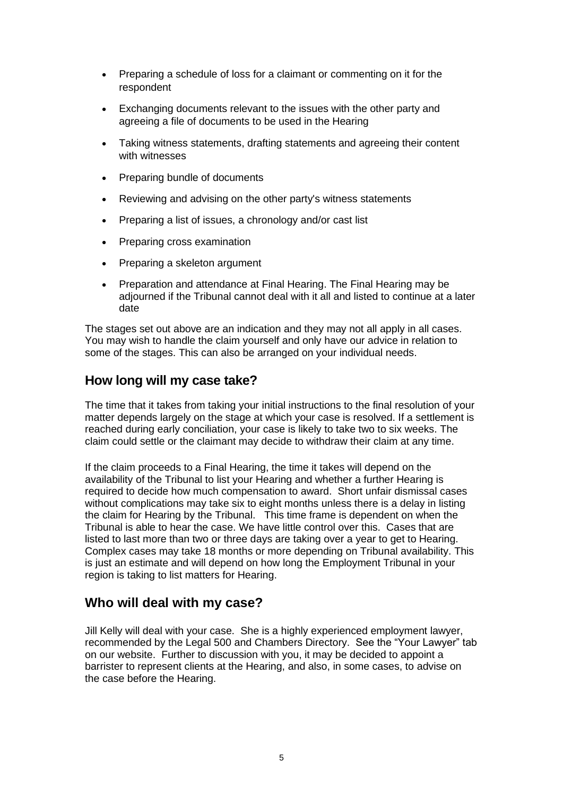- Preparing a schedule of loss for a claimant or commenting on it for the respondent
- Exchanging documents relevant to the issues with the other party and agreeing a file of documents to be used in the Hearing
- Taking witness statements, drafting statements and agreeing their content with witnesses
- Preparing bundle of documents
- Reviewing and advising on the other party's witness statements
- Preparing a list of issues, a chronology and/or cast list
- Preparing cross examination
- Preparing a skeleton argument
- Preparation and attendance at Final Hearing. The Final Hearing may be adjourned if the Tribunal cannot deal with it all and listed to continue at a later date

The stages set out above are an indication and they may not all apply in all cases. You may wish to handle the claim yourself and only have our advice in relation to some of the stages. This can also be arranged on your individual needs.

### **How long will my case take?**

The time that it takes from taking your initial instructions to the final resolution of your matter depends largely on the stage at which your case is resolved. If a settlement is reached during early conciliation, your case is likely to take two to six weeks. The claim could settle or the claimant may decide to withdraw their claim at any time.

If the claim proceeds to a Final Hearing, the time it takes will depend on the availability of the Tribunal to list your Hearing and whether a further Hearing is required to decide how much compensation to award. Short unfair dismissal cases without complications may take six to eight months unless there is a delay in listing the claim for Hearing by the Tribunal. This time frame is dependent on when the Tribunal is able to hear the case. We have little control over this. Cases that are listed to last more than two or three days are taking over a year to get to Hearing. Complex cases may take 18 months or more depending on Tribunal availability. This is just an estimate and will depend on how long the Employment Tribunal in your region is taking to list matters for Hearing.

### **Who will deal with my case?**

Jill Kelly will deal with your case. She is a highly experienced employment lawyer, recommended by the Legal 500 and Chambers Directory. See the "Your Lawyer" tab on our website. Further to discussion with you, it may be decided to appoint a barrister to represent clients at the Hearing, and also, in some cases, to advise on the case before the Hearing.